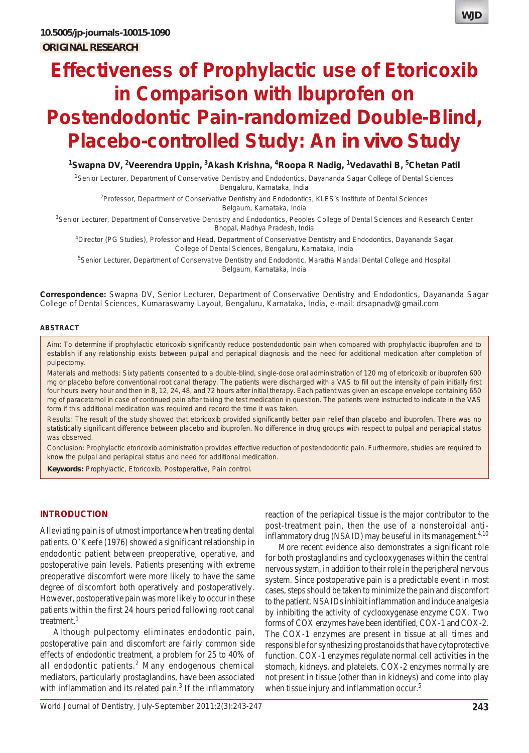# **Effectiveness of Prophylactic use of Etoricoxib in Comparison with Ibuprofen on Postendodontic Pain-randomized Double-Blind, Placebo-controlled Study: An** *in vivo* **Study**

## <sup>1</sup>Swapna DV, <sup>2</sup>Veerendra Uppin, <sup>3</sup>Akash Krishna, <sup>4</sup>Roopa R Nadig, <sup>1</sup>Vedavathi B, <sup>5</sup>Chetan Patil

1 Senior Lecturer, Department of Conservative Dentistry and Endodontics, Dayananda Sagar College of Dental Sciences Bengaluru, Karnataka, India

2 Professor, Department of Conservative Dentistry and Endodontics, KLES's Institute of Dental Sciences Belgaum, Karnataka, India

<sup>3</sup>Senior Lecturer, Department of Conservative Dentistry and Endodontics, Peoples College of Dental Sciences and Research Center Bhopal, Madhya Pradesh, India

4 Director (PG Studies), Professor and Head, Department of Conservative Dentistry and Endodontics, Dayananda Sagar College of Dental Sciences, Bengaluru, Karnataka, India

5 Senior Lecturer, Department of Conservative Dentistry and Endodontic, Maratha Mandal Dental College and Hospital Belgaum, Karnataka, India

**Correspondence:** Swapna DV, Senior Lecturer, Department of Conservative Dentistry and Endodontics, Dayananda Sagar College of Dental Sciences, Kumaraswamy Layout, Bengaluru, Karnataka, India, e-mail: drsapnadv@gmail.com

#### **ABSTRACT**

*Aim*: To determine if prophylactic etoricoxib significantly reduce postendodontic pain when compared with prophylactic ibuprofen and to establish if any relationship exists between pulpal and periapical diagnosis and the need for additional medication after completion of pulpectomy.

*Materials and methods*: Sixty patients consented to a double-blind, single-dose oral administration of 120 mg of etoricoxib or ibuprofen 600 mg or placebo before conventional root canal therapy. The patients were discharged with a VAS to fill out the intensity of pain initially first four hours every hour and then in 8, 12, 24, 48, and 72 hours after initial therapy. Each patient was given an escape envelope containing 650 mg of paracetamol in case of continued pain after taking the test medication in question. The patients were instructed to indicate in the VAS form if this additional medication was required and record the time it was taken.

*Results*: The result of the study showed that etoricoxib provided significantly better pain relief than placebo and ibuprofen. There was no statistically significant difference between placebo and ibuprofen. No difference in drug groups with respect to pulpal and periapical status was observed.

*Conclusion*: Prophylactic etoricoxib administration provides effective reduction of postendodontic pain. Furthermore, studies are required to know the pulpal and periapical status and need for additional medication.

**Keywords:** Prophylactic, Etoricoxib, Postoperative, Pain control.

#### **INTRODUCTION**

Alleviating pain is of utmost importance when treating dental patients. O'Keefe (1976) showed a significant relationship in endodontic patient between preoperative, operative, and postoperative pain levels. Patients presenting with extreme preoperative discomfort were more likely to have the same degree of discomfort both operatively and postoperatively. However, postoperative pain was more likely to occur in these patients within the first 24 hours period following root canal treatment. $<sup>1</sup>$ </sup>

Although pulpectomy eliminates endodontic pain, postoperative pain and discomfort are fairly common side effects of endodontic treatment, a problem for 25 to 40% of all endodontic patients.<sup>2</sup> Many endogenous chemical mediators, particularly prostaglandins, have been associated with inflammation and its related pain.<sup>3</sup> If the inflammatory

reaction of the periapical tissue is the major contributor to the post-treatment pain, then the use of a nonsteroidal antiinflammatory drug (NSAID) may be useful in its management. $4,10$ 

More recent evidence also demonstrates a significant role for both prostaglandins and cyclooxygenases within the central nervous system, in addition to their role in the peripheral nervous system. Since postoperative pain is a predictable event in most cases, steps should be taken to minimize the pain and discomfort to the patient. NSAIDs inhibit inflammation and induce analgesia by inhibiting the activity of cyclooxygenase enzyme COX. Two forms of COX enzymes have been identified, COX-1 and COX-2. The COX-1 enzymes are present in tissue at all times and responsible for synthesizing prostanoids that have cytoprotective function. COX-1 enzymes regulate normal cell activities in the stomach, kidneys, and platelets. COX-2 enzymes normally are not present in tissue (other than in kidneys) and come into play when tissue injury and inflammation occur.<sup>5</sup>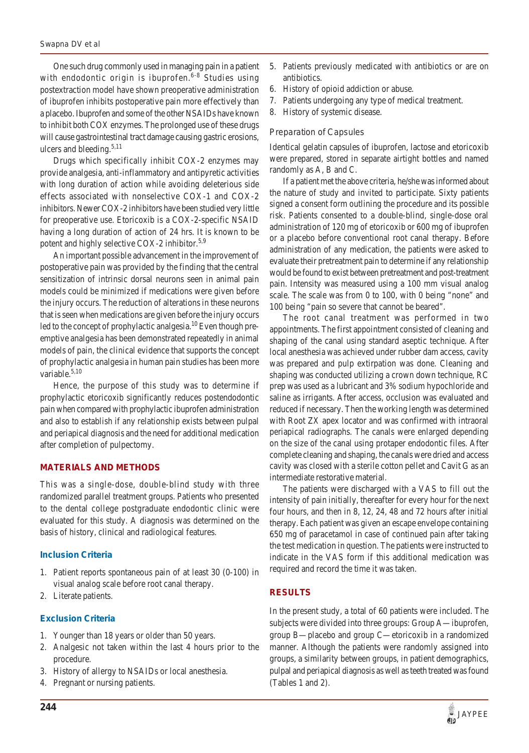One such drug commonly used in managing pain in a patient with endodontic origin is ibuprofen.<sup>6-8</sup> Studies using postextraction model have shown preoperative administration of ibuprofen inhibits postoperative pain more effectively than a placebo. Ibuprofen and some of the other NSAIDs have known to inhibit both COX enzymes. The prolonged use of these drugs will cause gastrointestinal tract damage causing gastric erosions, ulcers and bleeding. $5,11$ 

Drugs which specifically inhibit COX-2 enzymes may provide analgesia, anti-inflammatory and antipyretic activities with long duration of action while avoiding deleterious side effects associated with nonselective COX-1 and COX-2 inhibitors. Newer COX-2 inhibitors have been studied very little for preoperative use. Etoricoxib is a COX-2-specific NSAID having a long duration of action of 24 hrs. It is known to be potent and highly selective COX-2 inhibitor.<sup>5,9</sup>

An important possible advancement in the improvement of postoperative pain was provided by the finding that the central sensitization of intrinsic dorsal neurons seen in animal pain models could be minimized if medications were given before the injury occurs. The reduction of alterations in these neurons that is seen when medications are given before the injury occurs led to the concept of prophylactic analgesia.<sup>10</sup> Even though preemptive analgesia has been demonstrated repeatedly in animal models of pain, the clinical evidence that supports the concept of prophylactic analgesia in human pain studies has been more variable.<sup>5,10</sup>

Hence, the purpose of this study was to determine if prophylactic etoricoxib significantly reduces postendodontic pain when compared with prophylactic ibuprofen administration and also to establish if any relationship exists between pulpal and periapical diagnosis and the need for additional medication after completion of pulpectomy.

## **MATERIALS AND METHODS**

This was a single-dose, double-blind study with three randomized parallel treatment groups. Patients who presented to the dental college postgraduate endodontic clinic were evaluated for this study. A diagnosis was determined on the basis of history, clinical and radiological features.

#### **Inclusion Criteria**

- 1. Patient reports spontaneous pain of at least 30 (0-100) in visual analog scale before root canal therapy.
- 2. Literate patients.

## **Exclusion Criteria**

- 1. Younger than 18 years or older than 50 years.
- 2. Analgesic not taken within the last 4 hours prior to the procedure.
- 3. History of allergy to NSAIDs or local anesthesia.
- 4. Pregnant or nursing patients.
- 5. Patients previously medicated with antibiotics or are on antibiotics.
- 6. History of opioid addiction or abuse.
- 7. Patients undergoing any type of medical treatment.
- 8. History of systemic disease.

## *Preparation of Capsules*

Identical gelatin capsules of ibuprofen, lactose and etoricoxib were prepared, stored in separate airtight bottles and named randomly as A, B and C.

If a patient met the above criteria, he/she was informed about the nature of study and invited to participate. Sixty patients signed a consent form outlining the procedure and its possible risk. Patients consented to a double-blind, single-dose oral administration of 120 mg of etoricoxib or 600 mg of ibuprofen or a placebo before conventional root canal therapy. Before administration of any medication, the patients were asked to evaluate their pretreatment pain to determine if any relationship would be found to exist between pretreatment and post-treatment pain. Intensity was measured using a 100 mm visual analog scale. The scale was from 0 to 100, with 0 being "none" and 100 being "pain so severe that cannot be beared".

The root canal treatment was performed in two appointments. The first appointment consisted of cleaning and shaping of the canal using standard aseptic technique. After local anesthesia was achieved under rubber dam access, cavity was prepared and pulp extirpation was done. Cleaning and shaping was conducted utilizing a crown down technique, RC prep was used as a lubricant and 3% sodium hypochloride and saline as irrigants. After access, occlusion was evaluated and reduced if necessary. Then the working length was determined with Root ZX apex locator and was confirmed with intraoral periapical radiographs. The canals were enlarged depending on the size of the canal using protaper endodontic files. After complete cleaning and shaping, the canals were dried and access cavity was closed with a sterile cotton pellet and Cavit G as an intermediate restorative material.

The patients were discharged with a VAS to fill out the intensity of pain initially, thereafter for every hour for the next four hours, and then in 8, 12, 24, 48 and 72 hours after initial therapy. Each patient was given an escape envelope containing 650 mg of paracetamol in case of continued pain after taking the test medication in question. The patients were instructed to indicate in the VAS form if this additional medication was required and record the time it was taken.

## **RESULTS**

In the present study, a total of 60 patients were included. The subjects were divided into three groups: Group A—ibuprofen, group B—placebo and group C—etoricoxib in a randomized manner. Although the patients were randomly assigned into groups, a similarity between groups, in patient demographics, pulpal and periapical diagnosis as well as teeth treated was found (Tables 1 and 2).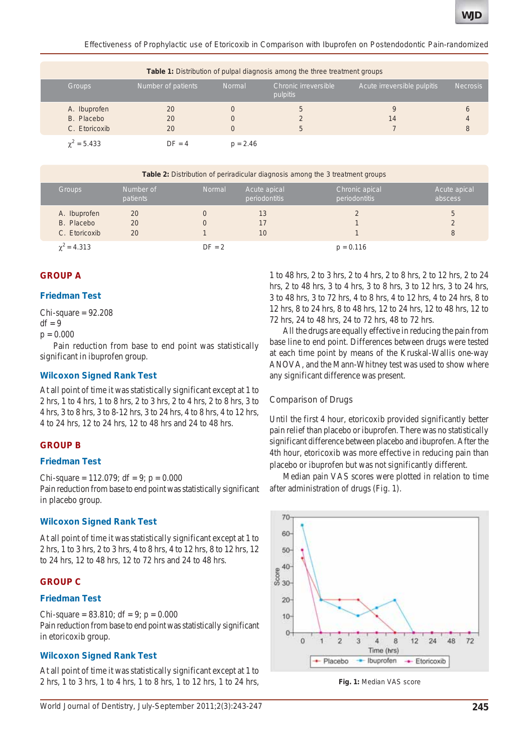*Effectiveness of Prophylactic use of Etoricoxib in Comparison with Ibuprofen on Postendodontic Pain-randomized*

| <b>Table 1:</b> Distribution of pulpal diagnosis among the three treatment groups |                           |               |                                  |                             |                 |  |  |  |  |
|-----------------------------------------------------------------------------------|---------------------------|---------------|----------------------------------|-----------------------------|-----------------|--|--|--|--|
| <b>Groups</b>                                                                     | <b>Number of patients</b> | <b>Normal</b> | Chronic irreversible<br>pulpitis | Acute irreversible pulpitis | <b>Necrosis</b> |  |  |  |  |
| A. Ibuprofen<br>B. Placebo<br>C. Etoricoxib                                       | 20<br>20<br>20            |               | 5<br>5                           | 14                          | 6<br>4<br>8     |  |  |  |  |
| $\gamma^2 = 5.433$                                                                | $DF = 4$                  | $p = 2.46$    |                                  |                             |                 |  |  |  |  |

| <b>Table 2:</b> Distribution of periradicular diagnosis among the 3 treatment groups |                       |               |                               |                                 |                         |  |
|--------------------------------------------------------------------------------------|-----------------------|---------------|-------------------------------|---------------------------------|-------------------------|--|
| Groups                                                                               | Number of<br>patients | <b>Normal</b> | Acute apical<br>periodontitis | Chronic apical<br>periodontitis | Acute apical<br>abscess |  |
| A. Ibuprofen<br>B. Placebo                                                           | 20<br>20              |               | 13<br>17                      |                                 | 5<br>2                  |  |
| C. Etoricoxib                                                                        | 20                    |               | 10                            |                                 | 8                       |  |
| $\chi^2$ = 4.313                                                                     |                       | $DF = 2$      |                               | $p = 0.116$                     |                         |  |

## **GROUP A**

#### **Friedman Test**

 $Chi-square = 92.208$  $df = 9$ 

 $p = 0.000$ 

Pain reduction from base to end point was statistically significant in ibuprofen group.

#### **Wilcoxon Signed Rank Test**

At all point of time it was statistically significant except at 1 to 2 hrs, 1 to 4 hrs, 1 to 8 hrs, 2 to 3 hrs, 2 to 4 hrs, 2 to 8 hrs, 3 to 4 hrs, 3 to 8 hrs, 3 to 8-12 hrs, 3 to 24 hrs, 4 to 8 hrs, 4 to 12 hrs, 4 to 24 hrs, 12 to 24 hrs, 12 to 48 hrs and 24 to 48 hrs.

## **GROUP B**

#### **Friedman Test**

Chi-square =  $112.079$ ; df = 9; p = 0.000 Pain reduction from base to end point was statistically significant in placebo group.

#### **Wilcoxon Signed Rank Test**

At all point of time it was statistically significant except at 1 to 2 hrs, 1 to 3 hrs, 2 to 3 hrs, 4 to 8 hrs, 4 to 12 hrs, 8 to 12 hrs, 12 to 24 hrs, 12 to 48 hrs, 12 to 72 hrs and 24 to 48 hrs.

## **GROUP C**

## **Friedman Test**

Chi-square =  $83.810$ ; df = 9; p =  $0.000$ Pain reduction from base to end point was statistically significant in etoricoxib group.

## **Wilcoxon Signed Rank Test**

At all point of time it was statistically significant except at 1 to 2 hrs, 1 to 3 hrs, 1 to 4 hrs, 1 to 8 hrs, 1 to 12 hrs, 1 to 24 hrs,

1 to 48 hrs, 2 to 3 hrs, 2 to 4 hrs, 2 to 8 hrs, 2 to 12 hrs, 2 to 24 hrs, 2 to 48 hrs, 3 to 4 hrs, 3 to 8 hrs, 3 to 12 hrs, 3 to 24 hrs, 3 to 48 hrs, 3 to 72 hrs, 4 to 8 hrs, 4 to 12 hrs, 4 to 24 hrs, 8 to 12 hrs, 8 to 24 hrs, 8 to 48 hrs, 12 to 24 hrs, 12 to 48 hrs, 12 to 72 hrs, 24 to 48 hrs, 24 to 72 hrs, 48 to 72 hrs.

All the drugs are equally effective in reducing the pain from base line to end point. Differences between drugs were tested at each time point by means of the Kruskal-Wallis one-way ANOVA, and the Mann-Whitney test was used to show where any significant difference was present.

#### *Comparison of Drugs*

Until the first 4 hour, etoricoxib provided significantly better pain relief than placebo or ibuprofen. There was no statistically significant difference between placebo and ibuprofen. After the 4th hour, etoricoxib was more effective in reducing pain than placebo or ibuprofen but was not significantly different.

Median pain VAS scores were plotted in relation to time after administration of drugs (Fig. 1).



**Fig. 1:** Median VAS score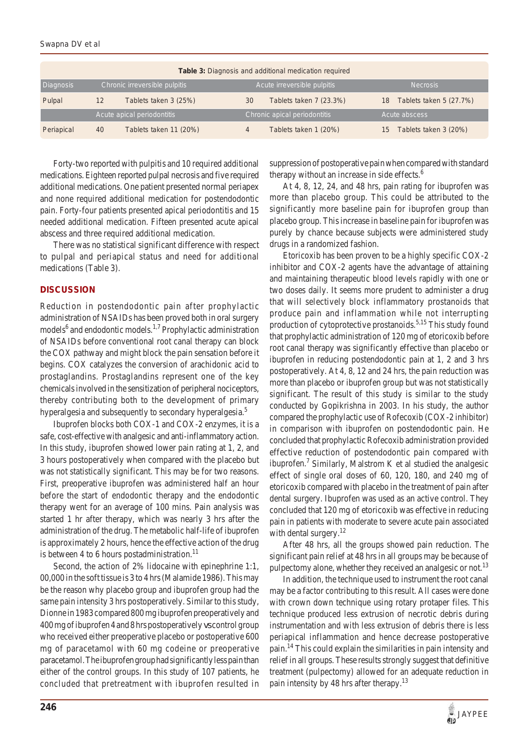| Table 3: Diagnosis and additional medication required |    |                              |    |                         |    |                         |  |  |  |
|-------------------------------------------------------|----|------------------------------|----|-------------------------|----|-------------------------|--|--|--|
| Chronic irreversible pulpitis<br>Diagnosis            |    | Acute irreversible pulpitis  |    | <b>Necrosis</b>         |    |                         |  |  |  |
| Pulpal                                                | 12 | Tablets taken 3 (25%)        | 30 | Tablets taken 7 (23.3%) | 18 | Tablets taken 5 (27.7%) |  |  |  |
| Acute apical periodontitis                            |    | Chronic apical periodontitis |    | Acute abscess           |    |                         |  |  |  |
| Periapical                                            | 40 | Tablets taken 11 (20%)       | 4  | Tablets taken 1 (20%)   | 15 | Tablets taken 3 (20%)   |  |  |  |

Forty-two reported with pulpitis and 10 required additional medications. Eighteen reported pulpal necrosis and five required additional medications. One patient presented normal periapex and none required additional medication for postendodontic pain. Forty-four patients presented apical periodontitis and 15 needed additional medication. Fifteen presented acute apical abscess and three required additional medication.

There was no statistical significant difference with respect to pulpal and periapical status and need for additional medications (Table 3).

### **DISCUSSION**

Reduction in postendodontic pain after prophylactic administration of NSAIDs has been proved both in oral surgery models<sup>6</sup> and endodontic models.<sup>1,7</sup> Prophylactic administration of NSAIDs before conventional root canal therapy can block the COX pathway and might block the pain sensation before it begins. COX catalyzes the conversion of arachidonic acid to prostaglandins. Prostaglandins represent one of the key chemicals involved in the sensitization of peripheral nociceptors, thereby contributing both to the development of primary hyperalgesia and subsequently to secondary hyperalgesia.<sup>5</sup>

Ibuprofen blocks both COX-1 and COX-2 enzymes, it is a safe, cost-effective with analgesic and anti-inflammatory action. In this study, ibuprofen showed lower pain rating at 1, 2, and 3 hours postoperatively when compared with the placebo but was not statistically significant. This may be for two reasons. First, preoperative ibuprofen was administered half an hour before the start of endodontic therapy and the endodontic therapy went for an average of 100 mins. Pain analysis was started 1 hr after therapy, which was nearly 3 hrs after the administration of the drug. The metabolic half-life of ibuprofen is approximately 2 hours, hence the effective action of the drug is between 4 to 6 hours postadministration.<sup>11</sup>

Second, the action of 2% lidocaine with epinephrine 1:1, 00,000 in the soft tissue is 3 to 4 hrs (Malamide 1986). This may be the reason why placebo group and ibuprofen group had the same pain intensity 3 hrs postoperatively. Similar to this study, Dionne in 1983 compared 800 mg ibuprofen preoperatively and 400 mg of ibuprofen 4 and 8 hrs postoperatively *vs* control group who received either preoperative placebo or postoperative 600 mg of paracetamol with 60 mg codeine or preoperative paracetamol. The ibuprofen group had significantly less pain than either of the control groups. In this study of 107 patients, he concluded that pretreatment with ibuprofen resulted in suppression of postoperative pain when compared with standard therapy without an increase in side effects.<sup>6</sup>

At 4, 8, 12, 24, and 48 hrs, pain rating for ibuprofen was more than placebo group. This could be attributed to the significantly more baseline pain for ibuprofen group than placebo group. This increase in baseline pain for ibuprofen was purely by chance because subjects were administered study drugs in a randomized fashion.

Etoricoxib has been proven to be a highly specific COX-2 inhibitor and COX-2 agents have the advantage of attaining and maintaining therapeutic blood levels rapidly with one or two doses daily. It seems more prudent to administer a drug that will selectively block inflammatory prostanoids that produce pain and inflammation while not interrupting production of cytoprotective prostanoids.<sup>5,15</sup> This study found that prophylactic administration of 120 mg of etoricoxib before root canal therapy was significantly effective than placebo or ibuprofen in reducing postendodontic pain at 1, 2 and 3 hrs postoperatively. At 4, 8, 12 and 24 hrs, the pain reduction was more than placebo or ibuprofen group but was not statistically significant. The result of this study is similar to the study conducted by Gopikrishna in 2003. In his study, the author compared the prophylactic use of Rofecoxib (COX-2 inhibitor) in comparison with ibuprofen on postendodontic pain. He concluded that prophylactic Rofecoxib administration provided effective reduction of postendodontic pain compared with ibuprofen.<sup>7</sup> Similarly, Malstrom K et al studied the analgesic effect of single oral doses of 60, 120, 180, and 240 mg of etoricoxib compared with placebo in the treatment of pain after dental surgery. Ibuprofen was used as an active control. They concluded that 120 mg of etoricoxib was effective in reducing pain in patients with moderate to severe acute pain associated with dental surgery.<sup>12</sup>

After 48 hrs, all the groups showed pain reduction. The significant pain relief at 48 hrs in all groups may be because of pulpectomy alone, whether they received an analgesic or not.<sup>13</sup>

In addition, the technique used to instrument the root canal may be a factor contributing to this result. All cases were done with crown down technique using rotary protaper files. This technique produced less extrusion of necrotic debris during instrumentation and with less extrusion of debris there is less periapical inflammation and hence decrease postoperative pain.14 This could explain the similarities in pain intensity and relief in all groups. These results strongly suggest that definitive treatment (pulpectomy) allowed for an adequate reduction in pain intensity by 48 hrs after therapy.<sup>13</sup>